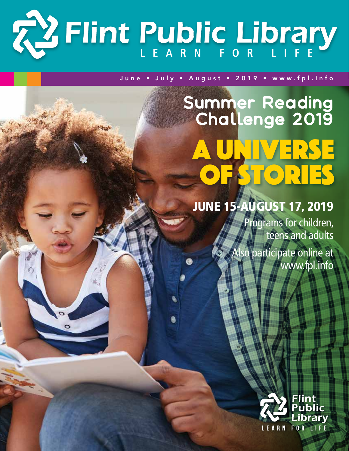# **L e a rn f or Li f e** *Flint Public Library*

 $\circ$ 

### June • July • August • 2019 • www.fpl.info

# Summer Reading Challenge 2019 UNIVERSE **ESTORIES**

## June 15-August 17, 2019

Programs for children, teens and adults

Also participate online at www.fpl.info

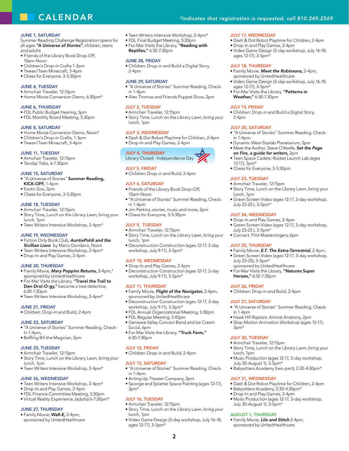## **CALENDAR**

#### **JUNE 1, SATURDAY**

Summer Reading Challenge Registration opens for all ages *"A Universe of Stories"*; children, teens and adults

- Friends of the Library Book Drop-Off, 10am-Noon
- Children's Drop-in Crafts 1-3pm
- Tween/Teen Minecraft, 3-4pm
- Chess for Everyone, 3-5:30pm

#### **JUNE 4, TUESDAY**

- Armchair Traveler, 12:15pm
- Home Movie Conversion Demo, 6:30pm\*

#### **JUNE 6, THURSDAY**

- FDL Public Budget Hearing, 5pm
- FDL Monthly Board Meeting, 5:30pm

#### **JUNE 8, SATURDAY**

- Home Movie Conversion Demo, Noon\*
- Children's Drop-in Crafts, 1-3pm
- Tween/Teen Minecraft, 3-4pm

#### **JUNE 11, TUESDAY**

- Armchair Traveler, 12:15pm
- Tendaji Talks, 6-7:30pm

#### June 15, Saturday

- "A Universe of Stories" Summer Reading, KICK-OFF, 1-4pm
- Exotic Zoo, 2pm
- Chess for Everyone, 3-5:30pm

#### **JUNE 18, TUESDAY**

- Armchair Traveler, 12:15pm
- Story Time, Lunch on the Library Lawn, bring your lunch, 1pm
- Teen Writers Intensive Workshop, 2-4pm\*

#### June 19, Wednesday

- Fiction Only Book Club, *AuntiePoldi and the*  **Sicillian Lions** by Mario Giordano, Noon
- Teen Writers Intensive Workshop, 2-4pm\*
- Drop-In and Play Games, 2-4pm

#### **JUNE 20, THURSDAY**

- Family Movie, *Mary Poppins Returns,* 2-4pm,\* sponsored by UnitedHealthcare
- For-Mar Visits the Library, "Travel the Trail to Den-Drol-O-gy," become a tree detective, 6:30-7:30pm
- Teen Writers Intensive Workshop, 2-4pm\*

#### June 21, Friday

• Children: Drop-in and Build, 2-4pm

#### June 22, Saturday

- "A Universe of Stories" Summer Reading, Check-In 1-4pm,
- Baffling Bill the Magician, 2pm

#### JUNE 25, TUESDAY

- Armchair Traveler, 12:15pm • Story Time, Lunch on the Library Lawn, bring your
- lunch, 1pm • Teen Writers Intensive Workshop, 2-4pm\*
- 

#### June 26, Wednesday

- Teen Writers Intensive Workshop, 2-4pm\*
- Drop-In and Play Games, 2-4pm
- FDL Finance Committee Meeting, 5:30pm
- Virtual Reality Experience, (adults) 6-7:30pm\*

#### June 27, Thursday

• Family Movie, *Wall-E,* 2-4pm, sponsored by UnitedHealthcare

- Teen Writers Intensive Workshop, 2-4pm\*
- FDL Final Budget Meeting, 5:30pm
- **•** For-Mar Visits the Library, "Reading with Reptiles," 6:30-7:30pm

#### June 28, Friday

• Children: Drop-in and Build a Digital Story, 2-4pm

#### June 29, Saturday

- "A Universe of Stories" Summer Reading, Checkin  $1-4$ pm
- Alex Thomas and Friends Puppet Show, 2pm

#### July 2, Tuesday

- Armchair Traveler, 12:15pm
- Story Time, Lunch on the Library Lawn, bring your lunch, 1pm

#### July 3, Wednesday

- Dash & Dot Robot Playtime for Children, 2-4pm
- Drop-In and Play Games, 2-4pm

#### July 4, Thursday Library Closed - Independence Day

#### July 5, Friday

• Children: Drop-in and Build, 2-4pm

#### July 6, Saturday

- Friends of the Library Book Drop-Off, 10am-Noon
- "A Universe of Stories" Summer Reading, Checkin 1-4pm
- Jim Perkins, stories, music and more, 2pm
- Chess for Everyone, 3-5:30pm

#### July 9, Tuesday

- Armchair Traveler, 12:15pm
- Story Time, Lunch on the Library Lawn, bring your lunch, 1pm
- Deconstruction Construction (ages 12-17, 3-day workshop, July 9-11), 3-5pm\*

#### July 10, Wednesday

- Drop-In and Play Games, 2-4pm
- Deconstruction Construction (ages 12-17, 3-day workshop, July 9-11), 3-5pm\*

#### July 11, Thursday

- Family Movie, *Flight of the Navigator,* 2-4pm, sponsored by UnitedHealthcare
- Deconstruction Construction (ages 12-17, 3-day workshop, July 9-11), 3-5pm\*
- FDL Annual Organizational Meeting, 5:30pm
- FDL Regular Meeting, 5:45pm
- Genesee Valley Concert Band and Ice Cream Social, 6pm
- For-Mar Visits the Library, "Truck Farm," 6:30-7:30pm

#### July 12, Friday

• Children: Drop-in and Build, 2-4pm

#### **JULY 13, SATURDAY**

- "A Universe of Stories" Summer Reading, Checkin 1-4pm.
- Acting Up Theater Company, 2pm
- Sponge and Splatter Space Painting (ages 12-17),  $3$ pm $*$

#### **JULY 16, TUESDAY**

- Armchair Traveler, 12:15pm
- Story Time, Lunch on the Library Lawn, bring your lunch, 1pm
- Video Game Design (3-day workshop, July 16-18, ages 12-17), 3-5pm\*

**2**

#### *\*indicates that registration is requested, call 810.249.2569*

• Drop-In and Play Games, 2-4pm

• Video Game Design (3-day workshop, July 16-18,

• Video Game Design (3-day workshop, July 16-18,

• Family Movie, *Meet the Robinsons,* 2-4pm, sponsored by UnitedHealthcare

• For-Mar Visits the Library, "Patterns in

• Children: Drop-in and Build a Digital Story,

• Dynamic West-Starlab Planetarium, 2pm • Meet the Author, Steve O'Keefe, *Set the Page* 

*on Fire, a guide for writers,* 2pm • Teen Space Cadets: Rocket Launch Lab (ages

• Chess for Everyone, 3-5:30pm

• "A Universe of Stories" Summer Reading, Check-

• Story Time, Lunch on the Library Lawn, bring your

• Green Screen Video (ages 12-17, 3-day workshop,

• Green Screen Video (ages 12-17, 3-day workshop,

• Family Movie, *E.T. The Extra-Terrestrial,* 2-4pm, • Green Screen Video (ages 12-17, 3-day workshop,

• "A Universe of Stories" Summer Reading, Check-

• Story Time, Lunch on the Library Lawn, bring your

• Music Production (ages 12-17, 3-day workshop,

• Babysitters Academy (two-part), 2:30-4:30pm\*

• Dash & Dot Robot Playtime for Children, 2-4pm

• Music Production (ages 12-17, 3-day workshop,

• Babysitters Academy, 2:30-4:30pm\* • Drop-In and Play Games, 2-4pm

• Family Movie, *Lilo and Stitch* 2-4pm, sponsored by UnitedHealthcare

• Hawk Hill Raptors: Animal Anatomy, 2pm • Stop-Motion Animation Workshop (ages 12-17),

#### July 17, Wednesday • Dash & Dot Robot Playtime for Children, 2-4pm

ages 12-17), 3-5pm\* July 18, Thursday

ages 12-17), 3-5pm\*

July 19, Friday

**JULY 20, SATURDAY** 

2-4pm

in 1-4pm.

12-17), 3pm\*

lunch, 1pm

**JULY 23, TUESDAY** • Armchair Traveler, 12:15pm

July 23-25 ), 3-5pm\* July 24, Wednesday • Drop-In and Play Games, 2-4pm

July 23-25 ), 3-5pm\*

**JULY 25, THURSDAY** 

July 23-25), 3-5pm\*

Heroes," 6:30-7:30pm

July 26, Friday

in  $1-4$ nm

3pm\*

**JULY 27, SATURDAY** 

July 30, Tuesday • Armchair Traveler, 12:15pm

July 30-August 1), 3-5pm\*

July 30-August 1), 3-5pm\* August 1, Thursday

July 31, Wednesday

lunch, 1pm

• Concert: Flint Mastersingers, 6pm

sponsored by UnitedHealthcare • For-Mar Visits the Library, "Natures Super

• Children: Drop-in and Build, 2-4pm

Weather," 6:30-7:30pm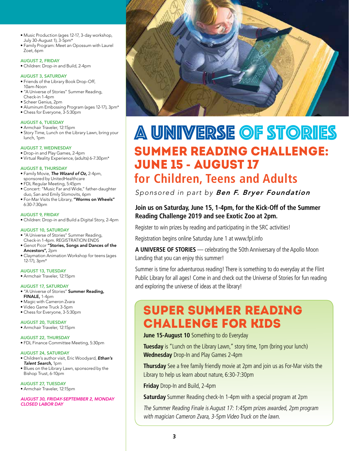- Music Production (ages 12-17, 3-day workshop, July 30-August 1), 3-5pm\*
- Family Program: Meet an Opossum with Laurel Zoet, 6pm

#### August 2, Friday

• Children: Drop-in and Build, 2-4pm

#### August 3, Saturday

- Friends of the Library Book Drop-Off, 10am-Noon
- "A Universe of Stories" Summer Reading, Check-in 1-4pm
- Scheer Genius, 2pm
- Aluminum Embossing Program (ages 12-17), 3pm\*
- Chess for Everyone, 3-5:30pm

#### August 6, Tuesday

- Armchair Traveler, 12:15pm
- Story Time, Lunch on the Library Lawn, bring your lunch, 1pm

#### August 7, Wednesday

- Drop-in and Play Games, 2-4pm
- Virtual Reality Experience, (adults) 6-7:30pm\*

#### August 8, Thursday

- Family Movie, *The Wizard of Oz,* 2-4pm,
- sponsored by UnitedHealthcare
- FDL Regular Meeting, 5:45pm
- Concert: "Music Far and Wide," father-daughter duo, San and Emily Slomovits, 6pm • For-Mar Visits the Library, "Worms on Wheels"
- 6:30-7:30pm

#### August 9, Friday

• Children: Drop-in and Build a Digital Story, 2-4pm

#### August 10, Saturday

- "A Universe of Stories" Summer Reading, Check-in 1-4pm. REGISTRATION ENDS
- Genot Picor "Stories, Songs and Dances of the Ancestors", 2pm
- Claymation Animation Workshop for teens (ages 12-17), 3pm\*

#### August 13, Tuesday

• Armchair Traveler, 12:15pm

#### August 17, Saturday

- "A Universe of Stories" Summer Reading, FINALE, 1-4pm
- Magic with Cameron Zvara
- Video Game Truck 3-5pm
- Chess for Everyone, 3-5:30pm

August 20, Tuesday • Armchair Traveler, 12:15pm

- August 22, Thursday
- FDL Finance Committee Meeting, 5:30pm

#### August 24, Saturday

- Children's author visit, Eric Woodyard, *Ethan's Talent Search,* 1pm
- Blues on the Library Lawn, sponsored by the Bishop Trust, 6-10pm

#### August 27, Tuesday

• Armchair Traveler, 12:15pm

*August 30, Friday-September 2, Monday Closed Labor Day*



## Summer Reading Challenge: June 15 - August 17 A Universe of Stories

## **for Children, Teens and Adults**

*Sponsored in part by Ben F. Bryer Foundation*

#### **Join us on Saturday, June 15, 1-4pm, for the Kick-Off of the Summer Reading Challenge 2019 and see Exotic Zoo at 2pm.**

Register to win prizes by reading and participating in the SRC activities!

Registration begins online Saturday June 1 at www.fpl.info

**A UNIVERSE OF STORIES** — celebrating the 50th Anniversary of the Apollo Moon Landing that you can enjoy this summer!

Summer is time for adventurous reading! There is something to do everyday at the Flint Public Library for all ages! Come in and check out the Universe of Stories for fun reading and exploring the universe of ideas at the library!

## Super Summer Reading Challenge for Kids

#### **June 15-August 10** Something to do Everyday

**Tuesday** is "Lunch on the Library Lawn," story time, 1pm (bring your lunch) **Wednesday** Drop-In and Play Games 2-4pm

**Thursday** See a free family friendly movie at 2pm and join us as For-Mar visits the Library to help us learn about nature, 6:30-7:30pm

**Friday** Drop-In and Build, 2-4pm

**Saturday** Summer Reading check-In 1-4pm with a special program at 2pm

The Summer Reading Finale is August 17: 1:45pm prizes awarded, 2pm program with magician Cameron Zvara, 3-5pm Video Truck on the lawn.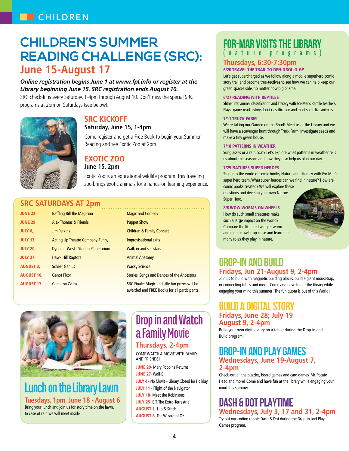## **Children's Summer Reading Challenge (SRC): June 15-August 17**

#### *Online registration begins June 1 at www.fpl.info or register at the Library beginning June 15. SRC registration ends August 10.*

SRC check-In is every Saturday, 1-4pm through August 10. Don't miss the special SRC programs at 2pm on Saturdays (see below).



### **SRC KICKOFF**

#### **Saturday, June 15, 1-4pm**

Come register and get a Free Book to begin your Summer Reading and see Exotic Zoo at 2pm

### **Exotic Zoo**

#### **June 15, 2pm**

Exotic Zoo is an educational wildlife program. This traveling zoo brings exotic animals for a hands-on learning experience.

### **SRC Saturdays at 2pm**

| <b>JUNE 22</b>    | <b>Baffling Bill the Magician</b>         | <b>Magic and Comedy</b>                                                                        |
|-------------------|-------------------------------------------|------------------------------------------------------------------------------------------------|
| <b>JUNE 29</b>    | Alex Thomas & Friends                     | <b>Puppet Show</b>                                                                             |
| <b>JULY 6,</b>    | <b>Jim Perkins</b>                        | <b>Children &amp; Family Concert</b>                                                           |
| <b>JULY 13,</b>   | <b>Acting Up Theatre Company-Funny</b>    | Improvisational skits                                                                          |
| <b>JULY 20,</b>   | <b>Dynamic West - Starlab Planetarium</b> | Walk in and see stars                                                                          |
| <b>JULY 27,</b>   | <b>Hawk Hill Raptors</b>                  | <b>Animal Anatomy</b>                                                                          |
| <b>AUGUST 3,</b>  | <b>Scheer Genius</b>                      | <b>Wacky Science</b>                                                                           |
| <b>AUGUST 10.</b> | <b>Genot Picor</b>                        | Stories, Songs and Dances of the Ancestors                                                     |
| <b>AUGUST 17</b>  | Cameron Zvara                             | SRC Finale: Magic and silly fun prizes will be<br>awarded and FREE Books for all participants! |



**Lunch on the Library Lawn Tuesdays, 1pm, June 18 - August 6** Bring your lunch and join us for story time on the lawn. In case of rain we will meet inside.

## **Drop in and Watch a Family Movie Thursdays, 2-4pm**

Come watch a movie with family and friends!

**JUNE 20- Mary Poppins Returns** JUNE 27- Wall-E JULY 4 - No Movie - Library Closed for Holiday **JULY 11** - Flight of the Navigator **JULY 18-** Meet the Robinsons JULY 25- E.T. The Extra-Terrestrial August 1- Lilo & Stitch August 8- The Wizard of Oz

## **For-Mar Visits the Library**

**( n a t u r e p r o g r a m s )** 

### **Thursdays, 6:30-7:30pm**

#### 6/20 Travel the Trail to Den-Drol-O-gy

Let's get supercharged as we follow along a mobile superhero comic story trail and become tree-tectives to see how we can help keep our green spaces safe, no matter how big or small.

#### 6/27 Reading with Reptiles

Slither into animal classification and literacy with For-Mar's Reptile Teachers. Play a game, read a story about classification and meet some live animals.

#### 7/11 Truck Farm

We're taking our Garden on the Road! Meet us at the Library and we will have a scavenger hunt through Truck Farm, investigate seeds and make a tiny green house.

#### 7/18 Patterns in Weather

Sunglasses or a rain coat? Let's explore what patterns in weather tells us about the seasons and how they also help us plan our day.

#### 7/25 Natures Super Heroes

Step into the world of comic books, Nature and Literacy with For-Mar's super hero team. What super heroes can we find in nature? How are comic books created? We will explore these

questions and develop your own Nature Super Hero.

#### 8/8 WOW-Worms on Wheels

How do such small creatures make such a large impact on the world? Compare the little red wiggler worm and night crawler up close and learn the many roles they play in nature.



### **DROP-IN AND BUILD Fridays, Jun 21-August 9, 2-4pm**

Join us to build with magnetic building blocks, build a giant mousetrap, or connecting tubes and more! Come and have fun at the library while engaging your mind this summer! The fun quota is out of this World!

#### **BUILD A DIGITAL STORY Fridays, June 28; July 19 August 9, 2-4pm**

Build your own digital story on a tablet during the Drop-in and Build program.

### **DROP-IN AND PLAY GAMES Wednesdays, June 19-August 7, 2-4pm**

Check-out all the puzzles, board games and card games, Mr. Potato Head and more! Come and have fun at the library while engaging your mind this summer.

### **DASH & DOT PLAYTIME Wednesdays, July 3, 17 and 31, 2-4pm**

Try out our coding robots Dash & Dot during the Drop-in and Play Games program.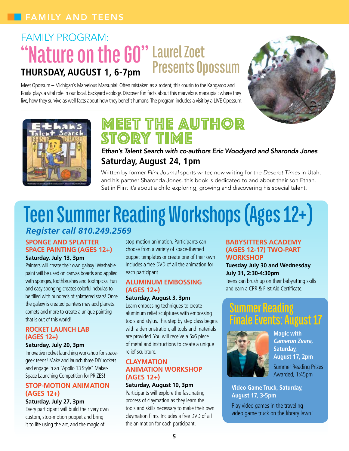## Family Program: **"Nature on the GO" Laurel Zoet Thursday, August 1, 6-7pm Presents Opossum**

Meet Opossum – Michigan's Marvelous Marsupial: Often mistaken as a rodent, this cousin to the Kangaroo and Koala plays a vital role in our local, backyard ecology. Discover fun facts about this marvelous marsupial: where they live, how they survive as well facts about how they benefit humans. The program includes a visit by a LIVE Opossum.





## MEET THE AUTHOR STORY TIME

*Ethan's Talent Search with co-authors Eric Woodyard and Sharonda Jones* **Saturday, August 24, 1pm**

Written by former *Flint Journal* sports writer, now writing for the *Deseret Times* in Utah, and his partner Sharonda Jones, this book is dedicated to and about their son Ethan. Set in Flint it's about a child exploring, growing and discovering his special talent.

## **Teen Summer Reading Workshops (Ages 12+)** *Register call 810.249.2569*

### **Sponge and Splatter Space Painting (Ages 12+)**

#### **Saturday, July 13, 3pm**

Painters will create their own galaxy! Washable paint will be used on canvas boards and applied with sponges, toothbrushes and toothpicks. Fun and easy sponging creates colorful nebulas to be filled with hundreds of splattered stars! Once the galaxy is created painters may add planets, comets and more to create a unique painting that is out of this world!

#### **Rocket Launch Lab (Ages 12+)**

#### **Saturday, July 20, 3pm**

Innovative rocket launching workshop for spacegeek teens! Make and launch three DIY rockets and engage in an "Apollo 13 Style" Maker-Space Launching Competition for PRIZES!

#### **Stop-Motion Animation (Ages 12+)**

#### **Saturday, July 27, 3pm**

Every participant will build their very own custom, stop-motion puppet and bring it to life using the art, and the magic of

stop-motion animation. Participants can choose from a variety of space-themed puppet templates or create one of their own! Includes a free DVD of all the animation for each participant

#### **Aluminum Embossing (Ages 12+)**

#### **Saturday, August 3, 3pm**

Learn embossing techniques to create aluminum relief sculptures with embossing tools and stylus. This step by step class begins with a demonstration, all tools and materials are provided. You will receive a 5x6 piece of metal and instructions to create a unique relief sculpture.

#### **Claymation Animation Workshop (Ages 12+)**

#### **Saturday, August 10, 3pm**

Participants will explore the fascinating process of claymation as they learn the tools and skills necessary to make their own claymation films. Includes a free DVD of all the animation for each participant.

#### **Babysitters Academy (Ages 12-17) two-part workshop**

#### **Tuesday July 30 and Wednesday July 31, 2:30-4:30pm**

Teens can brush up on their babysitting skills and earn a CPR & First Aid Certificate.

## **Summer Reading Finale Events: August 17**



**Magic with Cameron Zvara, Saturday, August 17, 2pm**  Summer Reading Prizes Awarded, 1:45pm

#### **Video Game Truck, Saturday, August 17, 3-5pm**

Play video games in the traveling video game truck on the library lawn!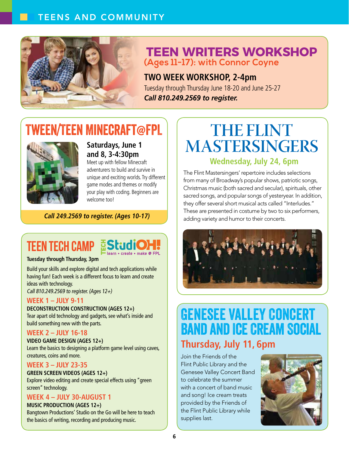### Teens and Community



## **Teen Writers Workshop (Ages 11-17): with Connor Coyne**

**Two week workshop, 2-4pm** Tuesday through Thursday June 18-20 and June 25-27 *call 810.249.2569 to register.*

## Tween/Teen Minecraft@FPL



**Saturdays, June 1 and 8, 3-4:30pm**

Meet up with fellow Minecraft adventurers to build and survive in unique and exciting worlds. Try different game modes and themes or modify your play with coding. Beginners are welcome too!

#### **Call 249.2569 to register. (Ages 10-17)**

## **TEEN TECH CAMP EStudio**



#### **Tuesday through Thursday, 3pm**

Build your skills and explore digital and tech applications while having fun! Each week is a different focus to learn and create ideas with technology.

Call 810.249.2569 to register. (Ages 12+)

#### **WEEK 1 – July 9-11**

#### **Deconstruction Construction (Ages 12+)**

Tear apart old technology and gadgets, see what's inside and build something new with the parts.

#### **WEEK 2 – July 16-18**

**Video Game Design (Ages 12+)** Learn the basics to designing a platform game level using caves, creatures, coins and more.

#### **WEEK 3 – July 23-35**

#### **Green Screen Videos (Ages 12+)**

Explore video editing and create special effects using "green screen" technology.

#### **WEEK 4 – July 30-August 1**

#### **Music Production (Ages 12+)**

Bangtown Productions' Studio on the Go will be here to teach the basics of writing, recording and producing music.

## **The Flint Mastersingers**

### **Wednesday, July 24, 6pm**

The Flint Mastersingers' repertoire includes selections from many of Broadway's popular shows, patriotic songs, Christmas music (both sacred and secular), spirituals, other sacred songs, and popular songs of yesteryear. In addition, they offer several short musical acts called "Interludes." These are presented in costume by two to six performers, adding variety and humor to their concerts.



## Genesee Valley Concert Band and Ice Cream Social **Thursday, July 11, 6pm**

Join the Friends of the Flint Public Library and the Genesee Valley Concert Band to celebrate the summer with a concert of band music and song! Ice cream treats provided by the Friends of the Flint Public Library while supplies last.

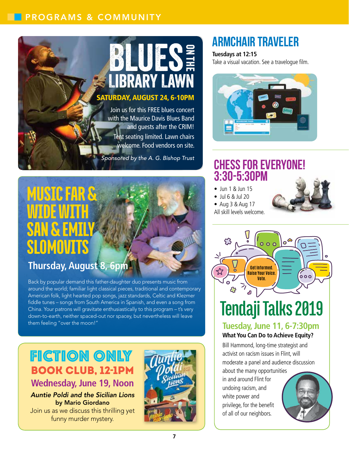### Programs & Community

# Saturday, August 24, 6-10pm **BLUESE**

Join us for this FREE blues concert with the Maurice Davis Blues Band and guests after the CRIM! Tent seating limited. Lawn chairs welcome. Food vendors on site.

*Sponsored by the A. G. Bishop Trust*

## Music Far & Wide with SAN & EMILY **SLOMOVITS**

## **Thursday, August 8, 6pm**

Back by popular demand this father-daughter duo presents music from around the world; familiar light classical pieces, traditional and contemporary American folk, light hearted pop songs, jazz standards, Celtic and Klezmer fiddle tunes – songs from South America in Spanish, and even a song from China. Your patrons will gravitate enthusiastically to this program – t's very down-to-earth, neither spaced-out nor spacey, but nevertheless will leave them feeling "over the moon!"

## Fiction Only Book Club, 12-1pm **Wednesday, June 19, Noon**

*Auntie Poldi and the Sicilian Lions*  by Mario Giordano Join us as we discuss this thrilling yet funny murder mystery.



## **Armchair Traveler**

#### **Tuesdays at 12:15**

Take a visual vacation. See a travelogue film.



## **Chess for Everyone! 3:30-5:30pm**

- Jun 1 & Jun 15
- Jul 6 & Jul 20
- Aug 3 & Aug 17
- All skill levels welcome.





### **What You Can Do to Achieve Equity?**

Bill Hammond, long-time strategist and activist on racism issues in Flint, will moderate a panel and audience discussion

about the many opportunities in and around Flint for undoing racism, and white power and privilege, for the benefit of all of our neighbors.